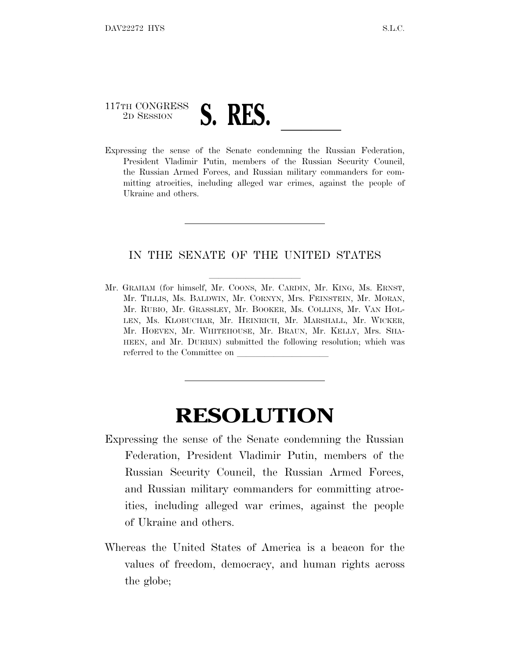## 117TH CONGRESS <sup>117TH</sup> CONGRESS **S. RES.** <u>Leader of</u> the Senate condemning the Russian Federation,

President Vladimir Putin, members of the Russian Security Council, the Russian Armed Forces, and Russian military commanders for committing atrocities, including alleged war crimes, against the people of Ukraine and others.

## IN THE SENATE OF THE UNITED STATES

Mr. GRAHAM (for himself, Mr. COONS, Mr. CARDIN, Mr. KING, Ms. ERNST, Mr. TILLIS, Ms. BALDWIN, Mr. CORNYN, Mrs. FEINSTEIN, Mr. MORAN, Mr. RUBIO, Mr. GRASSLEY, Mr. BOOKER, Ms. COLLINS, Mr. VAN HOL-LEN, Ms. KLOBUCHAR, Mr. HEINRICH, Mr. MARSHALL, Mr. WICKER, Mr. HOEVEN, Mr. WHITEHOUSE, Mr. BRAUN, Mr. KELLY, Mrs. SHA-HEEN, and Mr. DURBIN) submitted the following resolution; which was referred to the Committee on

## **RESOLUTION**

- Expressing the sense of the Senate condemning the Russian Federation, President Vladimir Putin, members of the Russian Security Council, the Russian Armed Forces, and Russian military commanders for committing atrocities, including alleged war crimes, against the people of Ukraine and others.
- Whereas the United States of America is a beacon for the values of freedom, democracy, and human rights across the globe;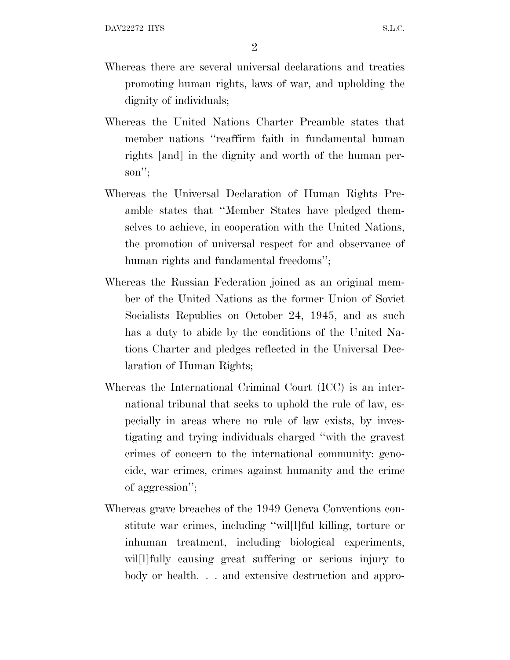2

- Whereas there are several universal declarations and treaties promoting human rights, laws of war, and upholding the dignity of individuals;
- Whereas the United Nations Charter Preamble states that member nations ''reaffirm faith in fundamental human rights [and] in the dignity and worth of the human person'';
- Whereas the Universal Declaration of Human Rights Preamble states that ''Member States have pledged themselves to achieve, in cooperation with the United Nations, the promotion of universal respect for and observance of human rights and fundamental freedoms'';
- Whereas the Russian Federation joined as an original member of the United Nations as the former Union of Soviet Socialists Republics on October 24, 1945, and as such has a duty to abide by the conditions of the United Nations Charter and pledges reflected in the Universal Declaration of Human Rights;
- Whereas the International Criminal Court (ICC) is an international tribunal that seeks to uphold the rule of law, especially in areas where no rule of law exists, by investigating and trying individuals charged ''with the gravest crimes of concern to the international community: genocide, war crimes, crimes against humanity and the crime of aggression'';
- Whereas grave breaches of the 1949 Geneva Conventions constitute war crimes, including ''wil[l]ful killing, torture or inhuman treatment, including biological experiments, will fully causing great suffering or serious injury to body or health. . . and extensive destruction and appro-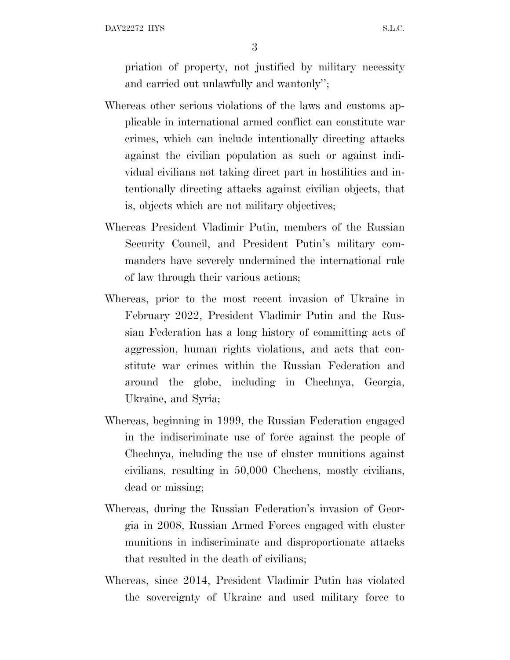DAV22272 HYS S.L.C.

3

priation of property, not justified by military necessity and carried out unlawfully and wantonly'';

- Whereas other serious violations of the laws and customs applicable in international armed conflict can constitute war crimes, which can include intentionally directing attacks against the civilian population as such or against individual civilians not taking direct part in hostilities and intentionally directing attacks against civilian objects, that is, objects which are not military objectives;
- Whereas President Vladimir Putin, members of the Russian Security Council, and President Putin's military commanders have severely undermined the international rule of law through their various actions;
- Whereas, prior to the most recent invasion of Ukraine in February 2022, President Vladimir Putin and the Russian Federation has a long history of committing acts of aggression, human rights violations, and acts that constitute war crimes within the Russian Federation and around the globe, including in Chechnya, Georgia, Ukraine, and Syria;
- Whereas, beginning in 1999, the Russian Federation engaged in the indiscriminate use of force against the people of Chechnya, including the use of cluster munitions against civilians, resulting in 50,000 Chechens, mostly civilians, dead or missing;
- Whereas, during the Russian Federation's invasion of Georgia in 2008, Russian Armed Forces engaged with cluster munitions in indiscriminate and disproportionate attacks that resulted in the death of civilians;
- Whereas, since 2014, President Vladimir Putin has violated the sovereignty of Ukraine and used military force to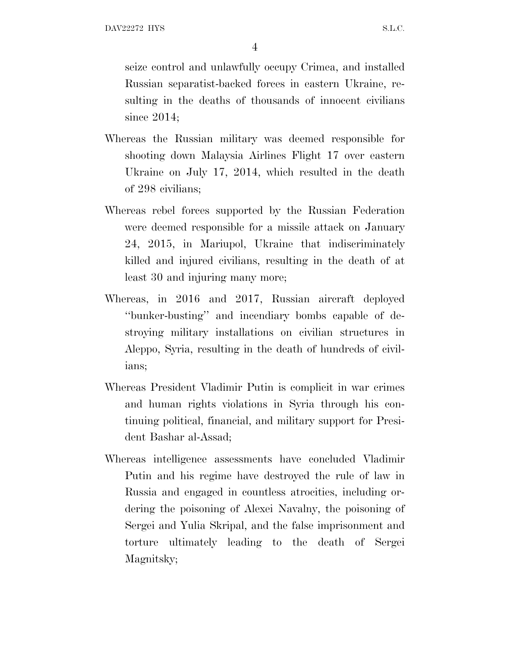seize control and unlawfully occupy Crimea, and installed Russian separatist-backed forces in eastern Ukraine, resulting in the deaths of thousands of innocent civilians since 2014;

- Whereas the Russian military was deemed responsible for shooting down Malaysia Airlines Flight 17 over eastern Ukraine on July 17, 2014, which resulted in the death of 298 civilians;
- Whereas rebel forces supported by the Russian Federation were deemed responsible for a missile attack on January 24, 2015, in Mariupol, Ukraine that indiscriminately killed and injured civilians, resulting in the death of at least 30 and injuring many more;
- Whereas, in 2016 and 2017, Russian aircraft deployed ''bunker-busting'' and incendiary bombs capable of destroying military installations on civilian structures in Aleppo, Syria, resulting in the death of hundreds of civilians;
- Whereas President Vladimir Putin is complicit in war crimes and human rights violations in Syria through his continuing political, financial, and military support for President Bashar al-Assad;
- Whereas intelligence assessments have concluded Vladimir Putin and his regime have destroyed the rule of law in Russia and engaged in countless atrocities, including ordering the poisoning of Alexei Navalny, the poisoning of Sergei and Yulia Skripal, and the false imprisonment and torture ultimately leading to the death of Sergei Magnitsky;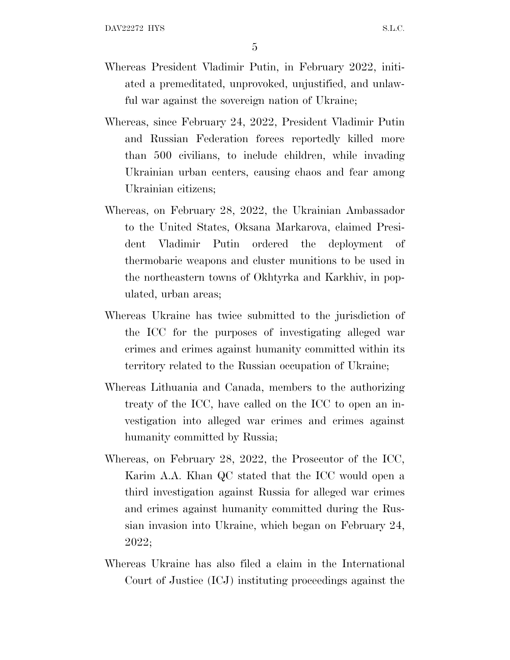- Whereas President Vladimir Putin, in February 2022, initiated a premeditated, unprovoked, unjustified, and unlawful war against the sovereign nation of Ukraine;
- Whereas, since February 24, 2022, President Vladimir Putin and Russian Federation forces reportedly killed more than 500 civilians, to include children, while invading Ukrainian urban centers, causing chaos and fear among Ukrainian citizens;
- Whereas, on February 28, 2022, the Ukrainian Ambassador to the United States, Oksana Markarova, claimed President Vladimir Putin ordered the deployment of thermobaric weapons and cluster munitions to be used in the northeastern towns of Okhtyrka and Karkhiv, in populated, urban areas;
- Whereas Ukraine has twice submitted to the jurisdiction of the ICC for the purposes of investigating alleged war crimes and crimes against humanity committed within its territory related to the Russian occupation of Ukraine;
- Whereas Lithuania and Canada, members to the authorizing treaty of the ICC, have called on the ICC to open an investigation into alleged war crimes and crimes against humanity committed by Russia;
- Whereas, on February 28, 2022, the Prosecutor of the ICC, Karim A.A. Khan QC stated that the ICC would open a third investigation against Russia for alleged war crimes and crimes against humanity committed during the Russian invasion into Ukraine, which began on February 24, 2022;
- Whereas Ukraine has also filed a claim in the International Court of Justice (ICJ) instituting proceedings against the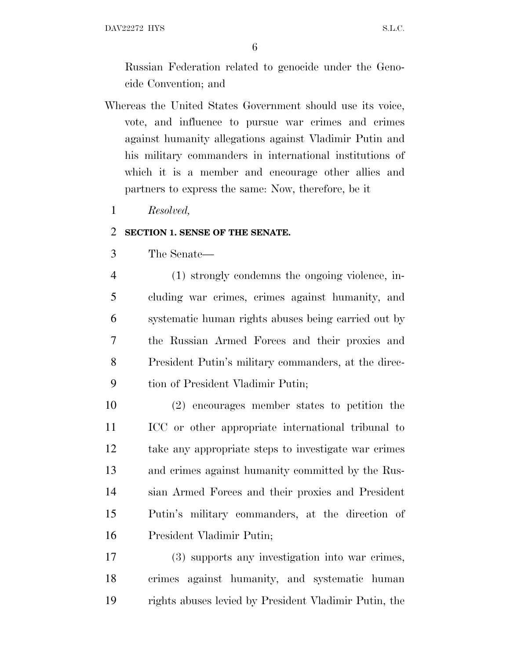DAV22272 HYS S.L.C.

Russian Federation related to genocide under the Genocide Convention; and

- Whereas the United States Government should use its voice, vote, and influence to pursue war crimes and crimes against humanity allegations against Vladimir Putin and his military commanders in international institutions of which it is a member and encourage other allies and partners to express the same: Now, therefore, be it
	- *Resolved,*

## **SECTION 1. SENSE OF THE SENATE.**

The Senate—

 (1) strongly condemns the ongoing violence, in- cluding war crimes, crimes against humanity, and systematic human rights abuses being carried out by the Russian Armed Forces and their proxies and President Putin's military commanders, at the direc-tion of President Vladimir Putin;

 (2) encourages member states to petition the ICC or other appropriate international tribunal to take any appropriate steps to investigate war crimes and crimes against humanity committed by the Rus- sian Armed Forces and their proxies and President Putin's military commanders, at the direction of President Vladimir Putin;

 (3) supports any investigation into war crimes, crimes against humanity, and systematic human rights abuses levied by President Vladimir Putin, the